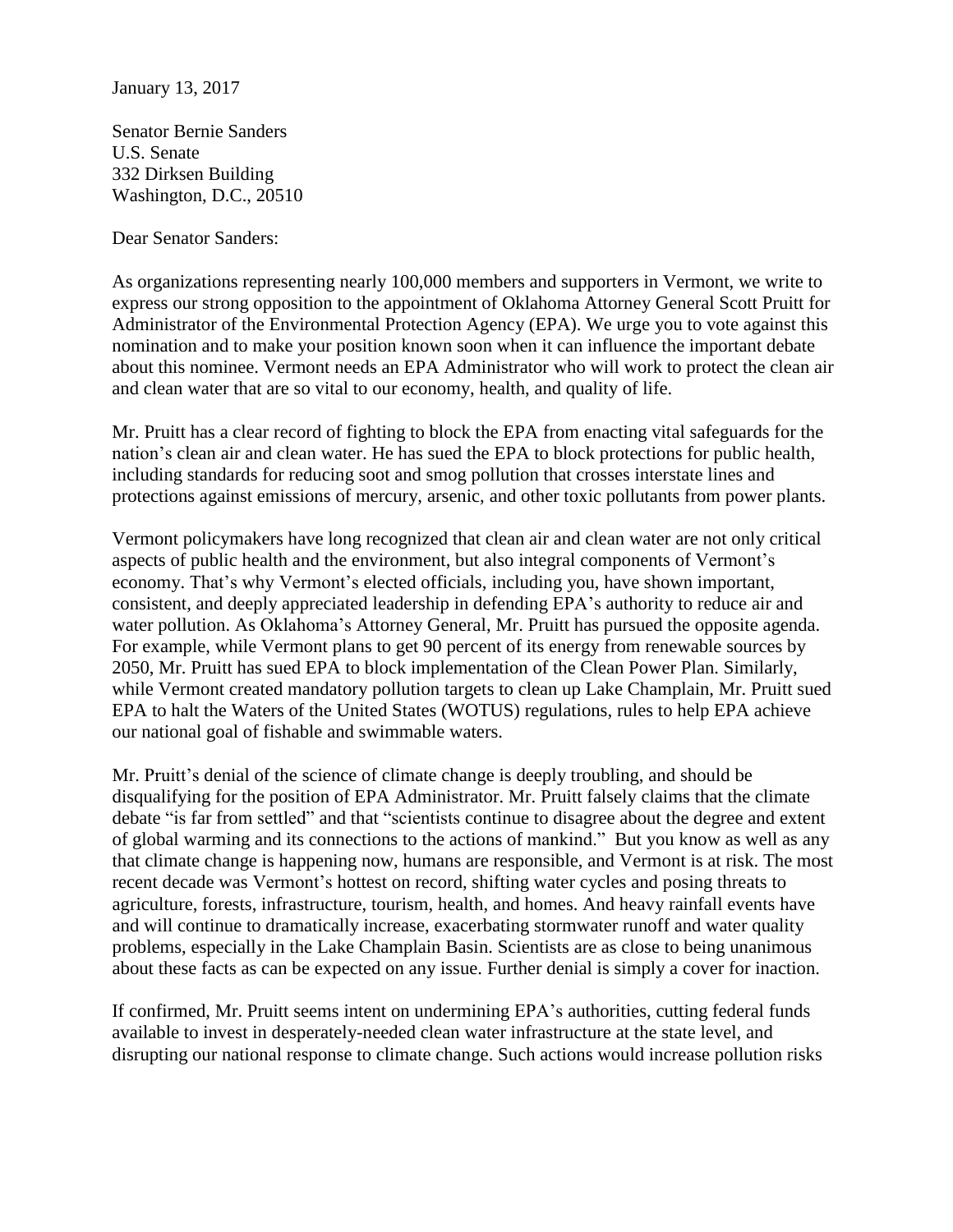January 13, 2017

Senator Bernie Sanders U.S. Senate 332 Dirksen Building Washington, D.C., 20510

Dear Senator Sanders:

As organizations representing nearly 100,000 members and supporters in Vermont, we write to express our strong opposition to the appointment of Oklahoma Attorney General Scott Pruitt for Administrator of the Environmental Protection Agency (EPA). We urge you to vote against this nomination and to make your position known soon when it can influence the important debate about this nominee. Vermont needs an EPA Administrator who will work to protect the clean air and clean water that are so vital to our economy, health, and quality of life.

Mr. Pruitt has a clear record of fighting to block the EPA from enacting vital safeguards for the nation's clean air and clean water. He has sued the EPA to block protections for public health, including standards for reducing soot and smog pollution that crosses interstate lines and protections against emissions of mercury, arsenic, and other toxic pollutants from power plants.

Vermont policymakers have long recognized that clean air and clean water are not only critical aspects of public health and the environment, but also integral components of Vermont's economy. That's why Vermont's elected officials, including you, have shown important, consistent, and deeply appreciated leadership in defending EPA's authority to reduce air and water pollution. As Oklahoma's Attorney General, Mr. Pruitt has pursued the opposite agenda. For example, while Vermont plans to get 90 percent of its energy from renewable sources by 2050, Mr. Pruitt has sued EPA to block implementation of the Clean Power Plan. Similarly, while Vermont created mandatory pollution targets to clean up Lake Champlain, Mr. Pruitt sued EPA to halt the Waters of the United States (WOTUS) regulations, rules to help EPA achieve our national goal of fishable and swimmable waters.

Mr. Pruitt's denial of the science of climate change is deeply troubling, and should be disqualifying for the position of EPA Administrator. Mr. Pruitt falsely claims that the climate debate "is far from settled" and that "scientists continue to disagree about the degree and extent of global warming and its connections to the actions of mankind." But you know as well as any that climate change is happening now, humans are responsible, and Vermont is at risk. The most recent decade was Vermont's hottest on record, shifting water cycles and posing threats to agriculture, forests, infrastructure, tourism, health, and homes. And heavy rainfall events have and will continue to dramatically increase, exacerbating stormwater runoff and water quality problems, especially in the Lake Champlain Basin. Scientists are as close to being unanimous about these facts as can be expected on any issue. Further denial is simply a cover for inaction.

If confirmed, Mr. Pruitt seems intent on undermining EPA's authorities, cutting federal funds available to invest in desperately-needed clean water infrastructure at the state level, and disrupting our national response to climate change. Such actions would increase pollution risks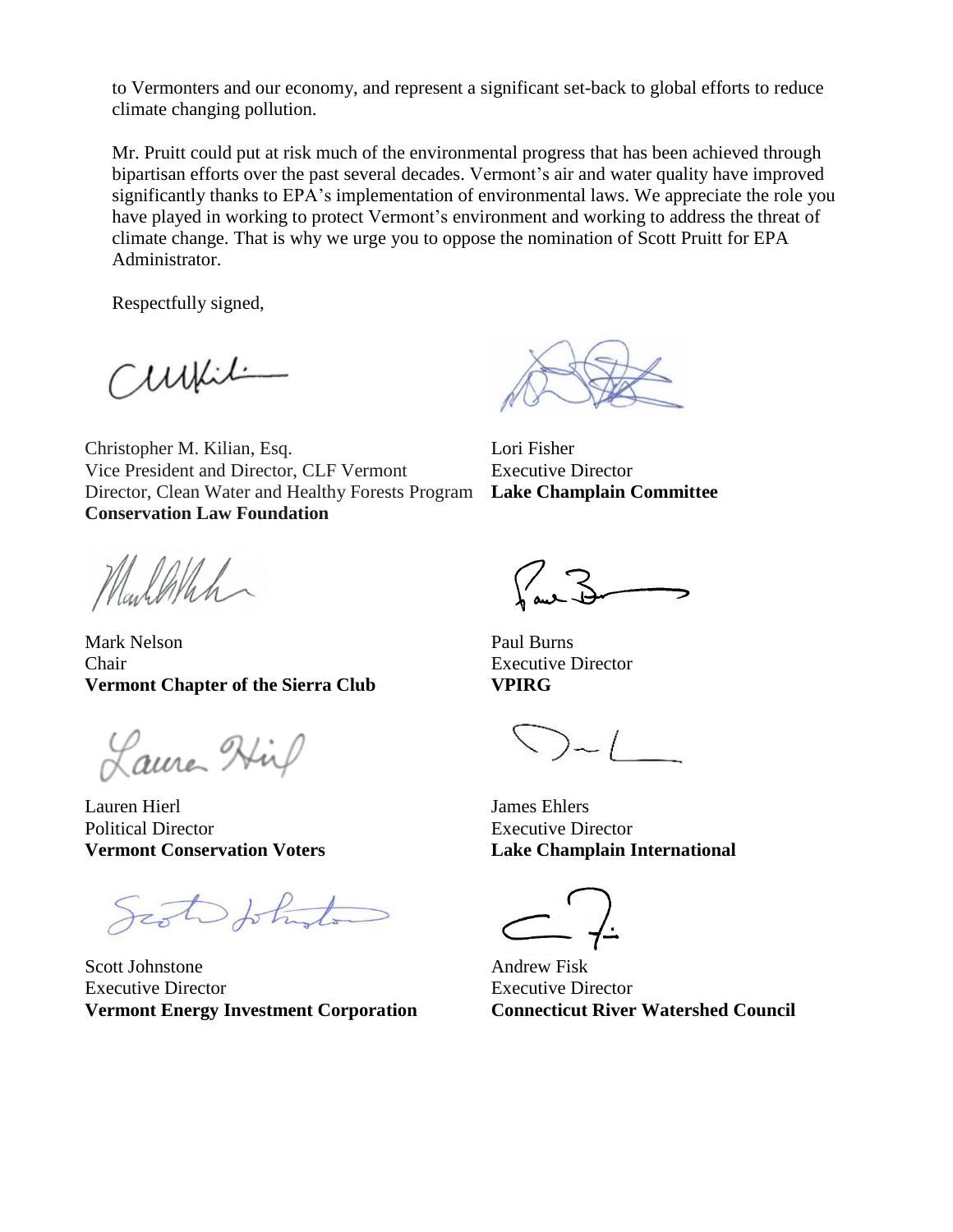to Vermonters and our economy, and represent a significant set-back to global efforts to reduce climate changing pollution.

Mr. Pruitt could put at risk much of the environmental progress that has been achieved through bipartisan efforts over the past several decades. Vermont's air and water quality have improved significantly thanks to EPA's implementation of environmental laws. We appreciate the role you have played in working to protect Vermont's environment and working to address the threat of climate change. That is why we urge you to oppose the nomination of Scott Pruitt for EPA Administrator.

Respectfully signed,

Curili

Christopher M. Kilian, Esq. Vice President and Director, CLF Vermont Director, Clean Water and Healthy Forests Program **Conservation Law Foundation**

Carlothan

Mark Nelson Chair **Vermont Chapter of the Sierra Club**

Laure Hip

Lauren Hierl Political Director **Vermont Conservation Voters**

Sist Johnston

Scott Johnstone Executive Director **Vermont Energy Investment Corporation**

Lori Fisher Executive Director **Lake Champlain Committee**

Paul Burns Executive Director **VPIRG**

 $\sum -$ 

James Ehlers Executive Director **Lake Champlain International**

Andrew Fisk Executive Director **Connecticut River Watershed Council**